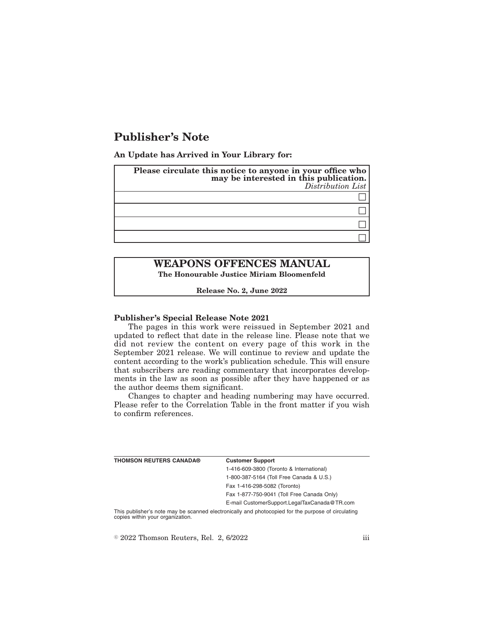# **Publisher's Note**

**An Update has Arrived in Your Library for:**

| Please circulate this notice to anyone in your office who<br>may be interested in this publication.<br>Distribution List |
|--------------------------------------------------------------------------------------------------------------------------|
|                                                                                                                          |
|                                                                                                                          |
|                                                                                                                          |
|                                                                                                                          |

## **WEAPONS OFFENCES MANUAL The Honourable Justice Miriam Bloomenfeld**

**Release No. 2, June 2022**

#### **Publisher's Special Release Note 2021**

The pages in this work were reissued in September 2021 and updated to reflect that date in the release line. Please note that we did not review the content on every page of this work in the September 2021 release. We will continue to review and update the content according to the work's publication schedule. This will ensure that subscribers are reading commentary that incorporates developments in the law as soon as possible after they have happened or as the author deems them significant.

Changes to chapter and heading numbering may have occurred. Please refer to the Correlation Table in the front matter if you wish to confirm references.

| <b>THOMSON REUTERS CANADA®</b> | <b>Customer Support</b>                      |
|--------------------------------|----------------------------------------------|
|                                | 1-416-609-3800 (Toronto & International)     |
|                                | 1-800-387-5164 (Toll Free Canada & U.S.)     |
|                                | Fax 1-416-298-5082 (Toronto)                 |
|                                | Fax 1-877-750-9041 (Toll Free Canada Only)   |
|                                | E-mail CustomerSupport.LegalTaxCanada@TR.com |
|                                |                                              |

This publisher's note may be scanned electronically and photocopied for the purpose of circulating copies within your organization.

 $\degree$  2022 Thomson Reuters, Rel. 2, 6/2022 iii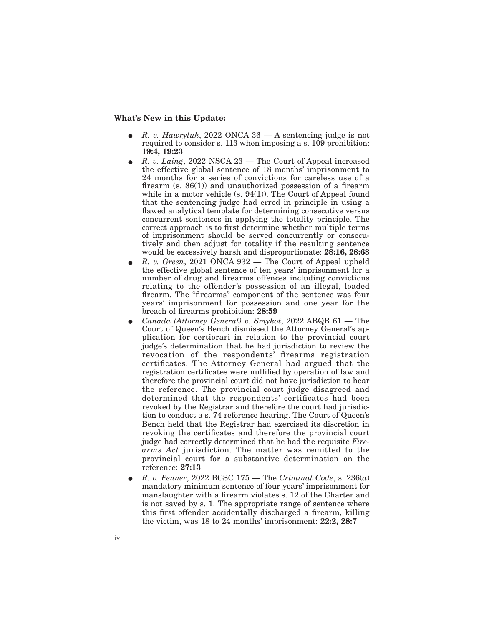#### **What's New in this Update:**

- E *R. v. Hawryluk*, 2022 ONCA 36 A sentencing judge is not required to consider s. 113 when imposing a s. 109 prohibition: **19:4, 19:23**
- E *R. v. Laing*, 2022 NSCA 23 The Court of Appeal increased the effective global sentence of 18 months' imprisonment to 24 months for a series of convictions for careless use of a firearm  $(s. 86(1))$  and unauthorized possession of a firearm while in a motor vehicle (s. 94(1)). The Court of Appeal found that the sentencing judge had erred in principle in using a flawed analytical template for determining consecutive versus concurrent sentences in applying the totality principle. The correct approach is to first determine whether multiple terms of imprisonment should be served concurrently or consecutively and then adjust for totality if the resulting sentence would be excessively harsh and disproportionate: **28:16, 28:68**
- E *R. v. Green*, 2021 ONCA 932 The Court of Appeal upheld the effective global sentence of ten years' imprisonment for a number of drug and firearms offences including convictions relating to the offender's possession of an illegal, loaded firearm. The "firearms" component of the sentence was four years' imprisonment for possession and one year for the breach of firearms prohibition: **28:59**
- E *Canada (Attorney General) v. Smykot*, 2022 ABQB 61 The Court of Queen's Bench dismissed the Attorney General's application for certiorari in relation to the provincial court judge's determination that he had jurisdiction to review the revocation of the respondents' firearms registration certificates. The Attorney General had argued that the registration certificates were nullified by operation of law and therefore the provincial court did not have jurisdiction to hear the reference. The provincial court judge disagreed and determined that the respondents' certificates had been revoked by the Registrar and therefore the court had jurisdiction to conduct a s. 74 reference hearing. The Court of Queen's Bench held that the Registrar had exercised its discretion in revoking the certificates and therefore the provincial court judge had correctly determined that he had the requisite *Firearms Act* jurisdiction. The matter was remitted to the provincial court for a substantive determination on the reference: **27:13**
- E *R. v. Penner*, 2022 BCSC 175 The *Criminal Code*, s. 236(*a*) mandatory minimum sentence of four years' imprisonment for manslaughter with a firearm violates s. 12 of the Charter and is not saved by s. 1. The appropriate range of sentence where this first offender accidentally discharged a firearm, killing the victim, was 18 to 24 months' imprisonment: **22:2, 28:7**